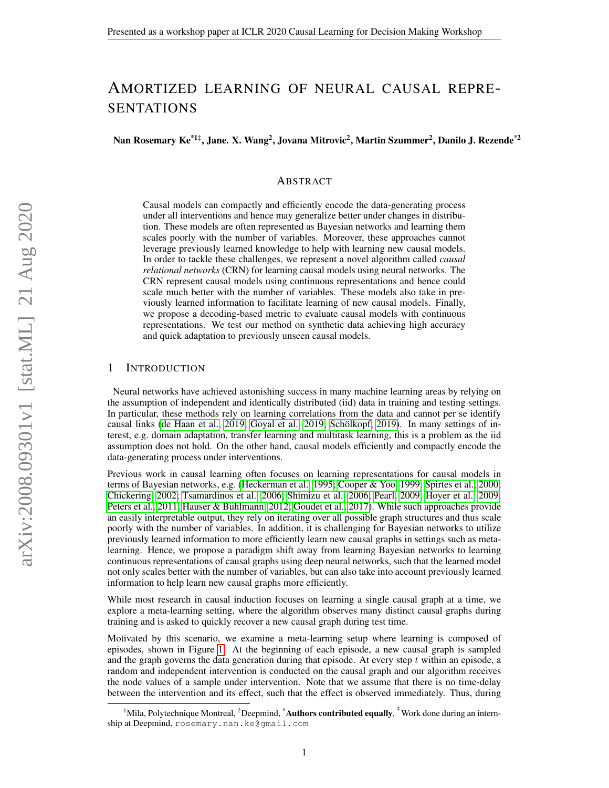# AMORTIZED LEARNING OF NEURAL CAUSAL REPRE-SENTATIONS

Nan Rosemary Ke $^{\ast1\ddagger},$  Jane. X. Wang $^2$ , Jovana Mitrovic $^2,$  Martin Szummer $^2,$  Danilo J. Rezende $^{\ast2}$ 

# ABSTRACT

Causal models can compactly and efficiently encode the data-generating process under all interventions and hence may generalize better under changes in distribution. These models are often represented as Bayesian networks and learning them scales poorly with the number of variables. Moreover, these approaches cannot leverage previously learned knowledge to help with learning new causal models. In order to tackle these challenges, we represent a novel algorithm called *causal relational networks* (CRN) for learning causal models using neural networks. The CRN represent causal models using continuous representations and hence could scale much better with the number of variables. These models also take in previously learned information to facilitate learning of new causal models. Finally, we propose a decoding-based metric to evaluate causal models with continuous representations. We test our method on synthetic data achieving high accuracy and quick adaptation to previously unseen causal models.

# 1 INTRODUCTION

Neural networks have achieved astonishing success in many machine learning areas by relying on the assumption of independent and identically distributed (iid) data in training and testing settings. In particular, these methods rely on learning correlations from the data and cannot per se identify causal links [\(de Haan et al., 2019;](#page-7-0) [Goyal et al., 2019;](#page-7-1) Schölkopf, 2019). In many settings of interest, e.g. domain adaptation, transfer learning and multitask learning, this is a problem as the iid assumption does not hold. On the other hand, causal models efficiently and compactly encode the data-generating process under interventions.

Previous work in causal learning often focuses on learning representations for causal models in terms of Bayesian networks, e.g. [\(Heckerman et al., 1995;](#page-7-2) [Cooper & Yoo, 1999;](#page-7-3) [Spirtes et al., 2000;](#page-8-1) [Chickering, 2002;](#page-7-4) [Tsamardinos et al., 2006;](#page-8-2) [Shimizu et al., 2006;](#page-8-3) [Pearl, 2009;](#page-8-4) [Hoyer et al., 2009;](#page-7-5) [Peters et al., 2011;](#page-8-5) [Hauser & Buhlmann, 2012;](#page-7-6) [Goudet et al., 2017\)](#page-7-7). While such approaches provide ¨ an easily interpretable output, they rely on iterating over all possible graph structures and thus scale poorly with the number of variables. In addition, it is challenging for Bayesian networks to utilize previously learned information to more efficiently learn new causal graphs in settings such as metalearning. Hence, we propose a paradigm shift away from learning Bayesian networks to learning continuous representations of causal graphs using deep neural networks, such that the learned model not only scales better with the number of variables, but can also take into account previously learned information to help learn new causal graphs more efficiently.

While most research in causal induction focuses on learning a single causal graph at a time, we explore a meta-learning setting, where the algorithm observes many distinct causal graphs during training and is asked to quickly recover a new causal graph during test time.

Motivated by this scenario, we examine a meta-learning setup where learning is composed of episodes, shown in Figure [1.](#page-1-0) At the beginning of each episode, a new causal graph is sampled and the graph governs the data generation during that episode. At every step  $t$  within an episode, a random and independent intervention is conducted on the causal graph and our algorithm receives the node values of a sample under intervention. Note that we assume that there is no time-delay between the intervention and its effect, such that the effect is observed immediately. Thus, during

<sup>&</sup>lt;sup>1</sup>Mila, Polytechnique Montreal, <sup>2</sup>Deepmind, <sup>\*</sup>Authors contributed equally, <sup>†</sup>Work done during an internship at Deepmind, rosemary.nan.ke@gmail.com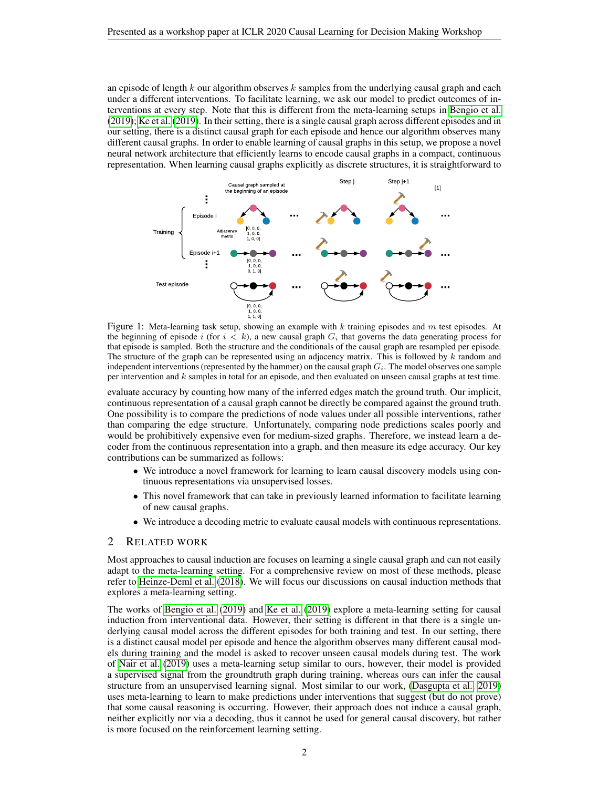an episode of length  $k$  our algorithm observes  $k$  samples from the underlying causal graph and each under a different interventions. To facilitate learning, we ask our model to predict outcomes of interventions at every step. Note that this is different from the meta-learning setups in [Bengio et al.](#page-7-8) [\(2019\)](#page-7-8); [Ke et al.](#page-7-9) [\(2019\)](#page-7-9). In their setting, there is a single causal graph across different episodes and in our setting, there is a distinct causal graph for each episode and hence our algorithm observes many different causal graphs. In order to enable learning of causal graphs in this setup, we propose a novel neural network architecture that efficiently learns to encode causal graphs in a compact, continuous representation. When learning causal graphs explicitly as discrete structures, it is straightforward to



<span id="page-1-0"></span>Figure 1: Meta-learning task setup, showing an example with  $k$  training episodes and  $m$  test episodes. At the beginning of episode i (for  $i < k$ ), a new causal graph  $G_i$  that governs the data generating process for that episode is sampled. Both the structure and the conditionals of the causal graph are resampled per episode. The structure of the graph can be represented using an adjacency matrix. This is followed by k random and independent interventions (represented by the hammer) on the causal graph  $G_i$ . The model observes one sample per intervention and k samples in total for an episode, and then evaluated on unseen causal graphs at test time.

evaluate accuracy by counting how many of the inferred edges match the ground truth. Our implicit, continuous representation of a causal graph cannot be directly be compared against the ground truth. One possibility is to compare the predictions of node values under all possible interventions, rather than comparing the edge structure. Unfortunately, comparing node predictions scales poorly and would be prohibitively expensive even for medium-sized graphs. Therefore, we instead learn a decoder from the continuous representation into a graph, and then measure its edge accuracy. Our key contributions can be summarized as follows:

- We introduce a novel framework for learning to learn causal discovery models using continuous representations via unsupervised losses.
- This novel framework that can take in previously learned information to facilitate learning of new causal graphs.
- We introduce a decoding metric to evaluate causal models with continuous representations.

## 2 RELATED WORK

Most approaches to causal induction are focuses on learning a single causal graph and can not easily adapt to the meta-learning setting. For a comprehensive review on most of these methods, please refer to [Heinze-Deml et al.](#page-7-10) [\(2018\)](#page-7-10). We will focus our discussions on causal induction methods that explores a meta-learning setting.

The works of [Bengio et al.](#page-7-8) [\(2019\)](#page-7-8) and [Ke et al.](#page-7-9) [\(2019\)](#page-7-9) explore a meta-learning setting for causal induction from interventional data. However, their setting is different in that there is a single underlying causal model across the different episodes for both training and test. In our setting, there is a distinct causal model per episode and hence the algorithm observes many different causal models during training and the model is asked to recover unseen causal models during test. The work of [Nair et al.](#page-8-6) [\(2019\)](#page-8-6) uses a meta-learning setup similar to ours, however, their model is provided a supervised signal from the groundtruth graph during training, whereas ours can infer the causal structure from an unsupervised learning signal. Most similar to our work, [\(Dasgupta et al., 2019\)](#page-7-11) uses meta-learning to learn to make predictions under interventions that suggest (but do not prove) that some causal reasoning is occurring. However, their approach does not induce a causal graph, neither explicitly nor via a decoding, thus it cannot be used for general causal discovery, but rather is more focused on the reinforcement learning setting.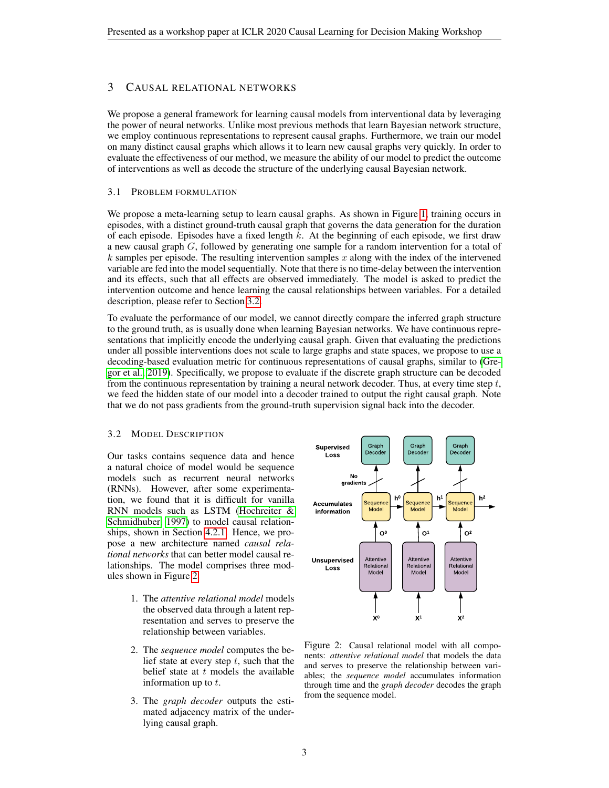# 3 CAUSAL RELATIONAL NETWORKS

We propose a general framework for learning causal models from interventional data by leveraging the power of neural networks. Unlike most previous methods that learn Bayesian network structure, we employ continuous representations to represent causal graphs. Furthermore, we train our model on many distinct causal graphs which allows it to learn new causal graphs very quickly. In order to evaluate the effectiveness of our method, we measure the ability of our model to predict the outcome of interventions as well as decode the structure of the underlying causal Bayesian network.

#### 3.1 PROBLEM FORMULATION

We propose a meta-learning setup to learn causal graphs. As shown in Figure [1,](#page-1-0) training occurs in episodes, with a distinct ground-truth causal graph that governs the data generation for the duration of each episode. Episodes have a fixed length k. At the beginning of each episode, we first draw a new causal graph G, followed by generating one sample for a random intervention for a total of  $k$  samples per episode. The resulting intervention samples  $x$  along with the index of the intervened variable are fed into the model sequentially. Note that there is no time-delay between the intervention and its effects, such that all effects are observed immediately. The model is asked to predict the intervention outcome and hence learning the causal relationships between variables. For a detailed description, please refer to Section [3.2.](#page-2-0)

To evaluate the performance of our model, we cannot directly compare the inferred graph structure to the ground truth, as is usually done when learning Bayesian networks. We have continuous representations that implicitly encode the underlying causal graph. Given that evaluating the predictions under all possible interventions does not scale to large graphs and state spaces, we propose to use a decoding-based evaluation metric for continuous representations of causal graphs, similar to [\(Gre](#page-7-12)[gor et al., 2019\)](#page-7-12). Specifically, we propose to evaluate if the discrete graph structure can be decoded from the continuous representation by training a neural network decoder. Thus, at every time step  $t$ , we feed the hidden state of our model into a decoder trained to output the right causal graph. Note that we do not pass gradients from the ground-truth supervision signal back into the decoder.

#### <span id="page-2-0"></span>3.2 MODEL DESCRIPTION

Our tasks contains sequence data and hence a natural choice of model would be sequence models such as recurrent neural networks (RNNs). However, after some experimentation, we found that it is difficult for vanilla RNN models such as LSTM [\(Hochreiter &](#page-7-13) [Schmidhuber, 1997\)](#page-7-13) to model causal relationships, shown in Section [4.2.1.](#page-5-0) Hence, we propose a new architecture named *causal relational networks* that can better model causal relationships. The model comprises three modules shown in Figure [2.](#page-2-1)

- 1. The *attentive relational model* models the observed data through a latent representation and serves to preserve the relationship between variables.
- 2. The *sequence model* computes the belief state at every step  $t$ , such that the belief state at  $t$  models the available information up to  $t$ .
- 3. The *graph decoder* outputs the estimated adjacency matrix of the underlying causal graph.



<span id="page-2-1"></span>Figure 2: Causal relational model with all components: *attentive relational model* that models the data and serves to preserve the relationship between variables; the *sequence model* accumulates information through time and the *graph decoder* decodes the graph from the sequence model.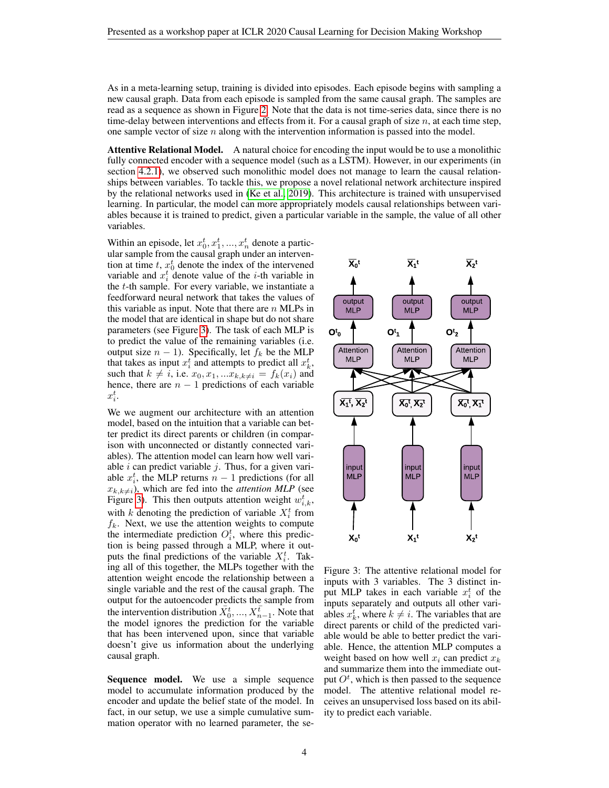As in a meta-learning setup, training is divided into episodes. Each episode begins with sampling a new causal graph. Data from each episode is sampled from the same causal graph. The samples are read as a sequence as shown in Figure [2.](#page-2-1) Note that the data is not time-series data, since there is no time-delay between interventions and effects from it. For a causal graph of size  $n$ , at each time step, one sample vector of size  $n$  along with the intervention information is passed into the model.

Attentive Relational Model. A natural choice for encoding the input would be to use a monolithic fully connected encoder with a sequence model (such as a LSTM). However, in our experiments (in section [4.2.1\)](#page-5-0), we observed such monolithic model does not manage to learn the causal relationships between variables. To tackle this, we propose a novel relational network architecture inspired by the relational networks used in [\(Ke et al., 2019\)](#page-7-9). This architecture is trained with unsupervised learning. In particular, the model can more appropriately models causal relationships between variables because it is trained to predict, given a particular variable in the sample, the value of all other variables.

Within an episode, let  $x_0^t, x_1^t, ..., x_n^t$  denote a particular sample from the causal graph under an intervention at time  $t$ ,  $x_0^t$  denote the index of the intervened variable and  $x_i^t$  denote value of the *i*-th variable in the t-th sample. For every variable, we instantiate a feedforward neural network that takes the values of this variable as input. Note that there are  $n$  MLPs in the model that are identical in shape but do not share parameters (see Figure [3\)](#page-3-0). The task of each MLP is to predict the value of the remaining variables (i.e. output size  $n - 1$ ). Specifically, let  $f_k$  be the MLP that takes as input  $x_i^t$  and attempts to predict all  $x_k^t$ , such that  $k \neq i$ , i.e.  $x_0, x_1, ... x_{k,k\neq i} = f_k(x_i)$  and hence, there are  $n - 1$  predictions of each variable  $x_i^t$ .

We we augment our architecture with an attention model, based on the intuition that a variable can better predict its direct parents or children (in comparison with unconnected or distantly connected variables). The attention model can learn how well variable  $i$  can predict variable  $j$ . Thus, for a given variable  $x_i^t$ , the MLP returns  $n-1$  predictions (for all  $x_{k,k\neq i}$ ), which are fed into the *attention MLP* (see Figure [3\)](#page-3-0). This then outputs attention weight  $w_{i,k}^t$ , with k denoting the prediction of variable  $X_i^t$  from  $f_k$ . Next, we use the attention weights to compute the intermediate prediction  $O_i^t$ , where this prediction is being passed through a MLP, where it outputs the final predictions of the variable  $X_i^t$ . Taking all of this together, the MLPs together with the attention weight encode the relationship between a single variable and the rest of the causal graph. The output for the autoencoder predicts the sample from the intervention distribution  $\bar{X}_0^t, ..., \bar{X}_{n-1}^t$ . Note that the model ignores the prediction for the variable that has been intervened upon, since that variable doesn't give us information about the underlying causal graph.

Sequence model. We use a simple sequence model to accumulate information produced by the encoder and update the belief state of the model. In fact, in our setup, we use a simple cumulative summation operator with no learned parameter, the se-



<span id="page-3-0"></span>Figure 3: The attentive relational model for inputs with 3 variables. The 3 distinct input MLP takes in each variable  $x_i^t$  of the inputs separately and outputs all other variables  $x_k^t$ , where  $k \neq i$ . The variables that are direct parents or child of the predicted variable would be able to better predict the variable. Hence, the attention MLP computes a weight based on how well  $x_i$  can predict  $x_k$ and summarize them into the immediate output  $O<sup>t</sup>$ , which is then passed to the sequence model. The attentive relational model receives an unsupervised loss based on its ability to predict each variable.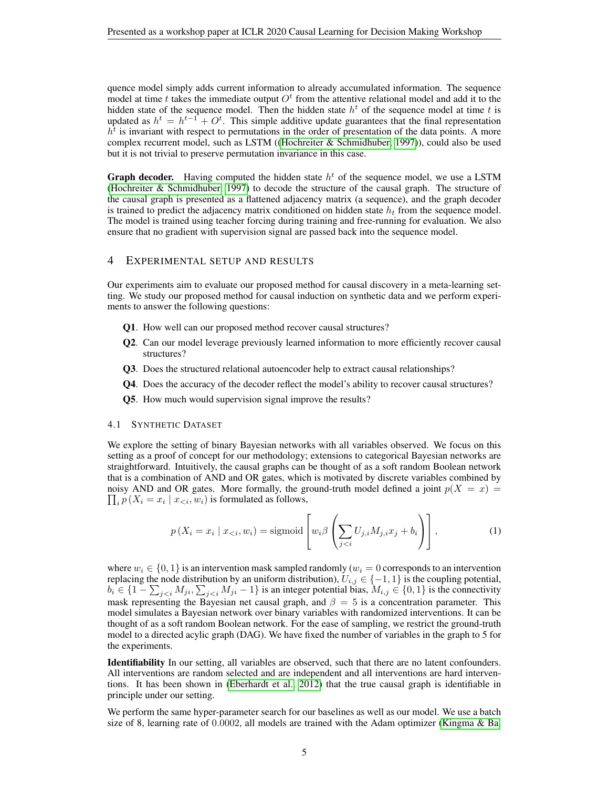quence model simply adds current information to already accumulated information. The sequence model at time t takes the immediate output  $O<sup>t</sup>$  from the attentive relational model and add it to the hidden state of the sequence model. Then the hidden state  $h<sup>t</sup>$  of the sequence model at time t is updated as  $h^t = h^{t-1} + O^t$ . This simple additive update guarantees that the final representation  $h<sup>t</sup>$  is invariant with respect to permutations in the order of presentation of the data points. A more complex recurrent model, such as LSTM ([\(Hochreiter & Schmidhuber, 1997\)](#page-7-13)), could also be used but it is not trivial to preserve permutation invariance in this case.

**Graph decoder.** Having computed the hidden state  $h<sup>t</sup>$  of the sequence model, we use a LSTM [\(Hochreiter & Schmidhuber, 1997\)](#page-7-13) to decode the structure of the causal graph. The structure of the causal graph is presented as a flattened adjacency matrix (a sequence), and the graph decoder is trained to predict the adjacency matrix conditioned on hidden state  $h_t$  from the sequence model. The model is trained using teacher forcing during training and free-running for evaluation. We also ensure that no gradient with supervision signal are passed back into the sequence model.

#### 4 EXPERIMENTAL SETUP AND RESULTS

Our experiments aim to evaluate our proposed method for causal discovery in a meta-learning setting. We study our proposed method for causal induction on synthetic data and we perform experiments to answer the following questions:

- Q1. How well can our proposed method recover causal structures?
- Q2. Can our model leverage previously learned information to more efficiently recover causal structures?
- Q3. Does the structured relational autoencoder help to extract causal relationships?
- Q4. Does the accuracy of the decoder reflect the model's ability to recover causal structures?
- Q5. How much would supervision signal improve the results?

#### 4.1 SYNTHETIC DATASET

We explore the setting of binary Bayesian networks with all variables observed. We focus on this setting as a proof of concept for our methodology; extensions to categorical Bayesian networks are straightforward. Intuitively, the causal graphs can be thought of as a soft random Boolean network that is a combination of AND and OR gates, which is motivated by discrete variables combined by  $\prod_i p(X_i = x_i \mid x_{\leq i}, w_i)$  is formulated as follows, noisy AND and OR gates. More formally, the ground-truth model defined a joint  $p(X = x)$ 

$$
p(X_i = x_i \mid x_{< i}, w_i) = \text{sigmoid}\left[w_i \beta\left(\sum_{j < i} U_{j,i} M_{j,i} x_j + b_i\right)\right],\tag{1}
$$

where  $w_i \in \{0, 1\}$  is an intervention mask sampled randomly  $(w_i = 0$  corresponds to an intervention replacing the node distribution by an uniform distribution),  $U_{i,j} \in \{-1,1\}$  is the coupling potential,  $b_i \in \{1 - \sum_{j < i} M_{ji}, \sum_{j < i} M_{ji} - 1\}$  is an integer potential bias,  $M_{i,j} \in \{0, 1\}$  is the connectivity mask representing the Bayesian net causal graph, and  $\beta = 5$  is a concentration parameter. This model simulates a Bayesian network over binary variables with randomized interventions. It can be thought of as a soft random Boolean network. For the ease of sampling, we restrict the ground-truth model to a directed acylic graph (DAG). We have fixed the number of variables in the graph to 5 for the experiments.

Identifiability In our setting, all variables are observed, such that there are no latent confounders. All interventions are random selected and are independent and all interventions are hard interventions. It has been shown in [\(Eberhardt et al., 2012\)](#page-7-14) that the true causal graph is identifiable in principle under our setting.

We perform the same hyper-parameter search for our baselines as well as our model. We use a batch size of 8, learning rate of 0.0002, all models are trained with the Adam optimizer [\(Kingma & Ba,](#page-7-15)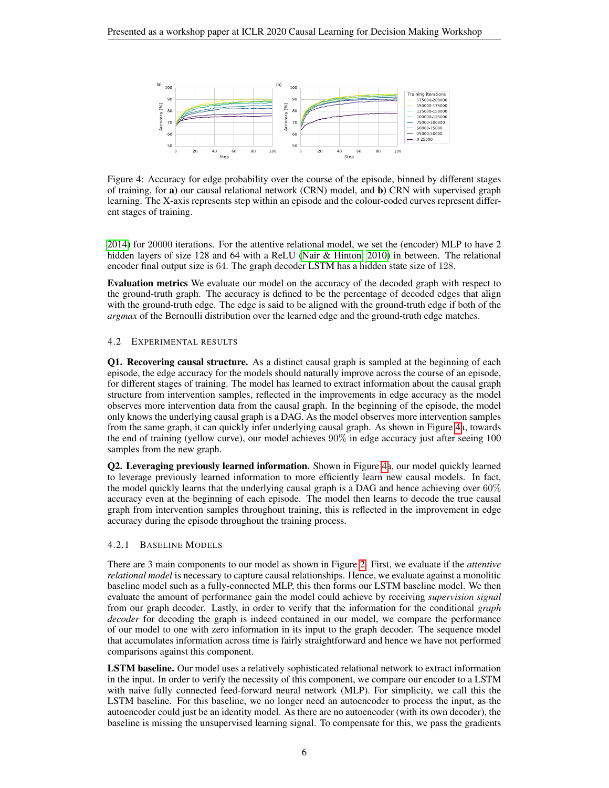

<span id="page-5-1"></span>Figure 4: Accuracy for edge probability over the course of the episode, binned by different stages of training, for a) our causal relational network (CRN) model, and b) CRN with supervised graph learning. The X-axis represents step within an episode and the colour-coded curves represent different stages of training.

[2014\)](#page-7-15) for 20000 iterations. For the attentive relational model, we set the (encoder) MLP to have 2 hidden layers of size 128 and 64 with a ReLU [\(Nair & Hinton, 2010\)](#page-8-7) in between. The relational encoder final output size is 64. The graph decoder LSTM has a hidden state size of 128.

Evaluation metrics We evaluate our model on the accuracy of the decoded graph with respect to the ground-truth graph. The accuracy is defined to be the percentage of decoded edges that align with the ground-truth edge. The edge is said to be aligned with the ground-truth edge if both of the *argmax* of the Bernoulli distribution over the learned edge and the ground-truth edge matches.

# 4.2 EXPERIMENTAL RESULTS

Q1. Recovering causal structure. As a distinct causal graph is sampled at the beginning of each episode, the edge accuracy for the models should naturally improve across the course of an episode, for different stages of training. The model has learned to extract information about the causal graph structure from intervention samples, reflected in the improvements in edge accuracy as the model observes more intervention data from the causal graph. In the beginning of the episode, the model only knows the underlying causal graph is a DAG. As the model observes more intervention samples from the same graph, it can quickly infer underlying causal graph. As shown in Figure [4a](#page-5-1), towards the end of training (yellow curve), our model achieves 90% in edge accuracy just after seeing 100 samples from the new graph.

Q2. Leveraging previously learned information. Shown in Figure [4a](#page-5-1), our model quickly learned to leverage previously learned information to more efficiently learn new causal models. In fact, the model quickly learns that the underlying causal graph is a DAG and hence achieving over  $60\%$ accuracy even at the beginning of each episode. The model then learns to decode the true causal graph from intervention samples throughout training, this is reflected in the improvement in edge accuracy during the episode throughout the training process.

# <span id="page-5-0"></span>4.2.1 BASELINE MODELS

There are 3 main components to our model as shown in Figure [2.](#page-2-1) First, we evaluate if the *attentive relational model* is necessary to capture causal relationships. Hence, we evaluate against a monolitic baseline model such as a fully-connected MLP, this then forms our LSTM baseline model. We then evaluate the amount of performance gain the model could achieve by receiving *supervision signal* from our graph decoder. Lastly, in order to verify that the information for the conditional *graph decoder* for decoding the graph is indeed contained in our model, we compare the performance of our model to one with zero information in its input to the graph decoder. The sequence model that accumulates information across time is fairly straightforward and hence we have not performed comparisons against this component.

LSTM baseline. Our model uses a relatively sophisticated relational network to extract information in the input. In order to verify the necessity of this component, we compare our encoder to a LSTM with naive fully connected feed-forward neural network (MLP). For simplicity, we call this the LSTM baseline. For this baseline, we no longer need an autoencoder to process the input, as the autoencoder could just be an identity model. As there are no autoencoder (with its own decoder), the baseline is missing the unsupervised learning signal. To compensate for this, we pass the gradients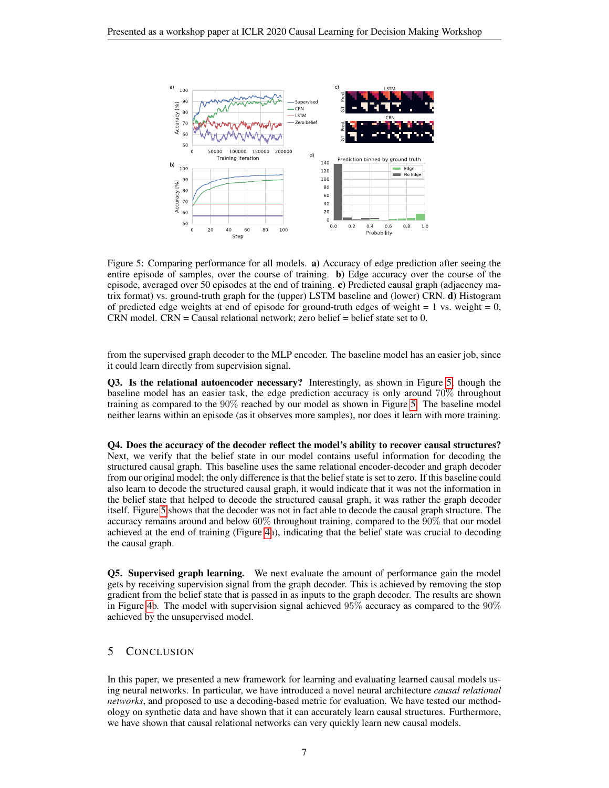

<span id="page-6-0"></span>Figure 5: Comparing performance for all models. a) Accuracy of edge prediction after seeing the entire episode of samples, over the course of training. b) Edge accuracy over the course of the episode, averaged over 50 episodes at the end of training. c) Predicted causal graph (adjacency matrix format) vs. ground-truth graph for the (upper) LSTM baseline and (lower) CRN. d) Histogram of predicted edge weights at end of episode for ground-truth edges of weight  $= 1$  vs. weight  $= 0$ , CRN model. CRN = Causal relational network; zero belief = belief state set to 0.

from the supervised graph decoder to the MLP encoder. The baseline model has an easier job, since it could learn directly from supervision signal.

Q3. Is the relational autoencoder necessary? Interestingly, as shown in Figure [5,](#page-6-0) though the baseline model has an easier task, the edge prediction accuracy is only around 70% throughout training as compared to the 90% reached by our model as shown in Figure [5.](#page-6-0) The baseline model neither learns within an episode (as it observes more samples), nor does it learn with more training.

Q4. Does the accuracy of the decoder reflect the model's ability to recover causal structures? Next, we verify that the belief state in our model contains useful information for decoding the structured causal graph. This baseline uses the same relational encoder-decoder and graph decoder from our original model; the only difference is that the belief state is set to zero. If this baseline could also learn to decode the structured causal graph, it would indicate that it was not the information in the belief state that helped to decode the structured causal graph, it was rather the graph decoder itself. Figure [5](#page-6-0) shows that the decoder was not in fact able to decode the causal graph structure. The accuracy remains around and below 60% throughout training, compared to the 90% that our model achieved at the end of training (Figure [4a](#page-5-1)), indicating that the belief state was crucial to decoding the causal graph.

Q5. Supervised graph learning. We next evaluate the amount of performance gain the model gets by receiving supervision signal from the graph decoder. This is achieved by removing the stop gradient from the belief state that is passed in as inputs to the graph decoder. The results are shown in Figure [4b](#page-5-1). The model with supervision signal achieved  $95\%$  accuracy as compared to the  $90\%$ achieved by the unsupervised model.

# 5 CONCLUSION

In this paper, we presented a new framework for learning and evaluating learned causal models using neural networks. In particular, we have introduced a novel neural architecture *causal relational networks*, and proposed to use a decoding-based metric for evaluation. We have tested our methodology on synthetic data and have shown that it can accurately learn causal structures. Furthermore, we have shown that causal relational networks can very quickly learn new causal models.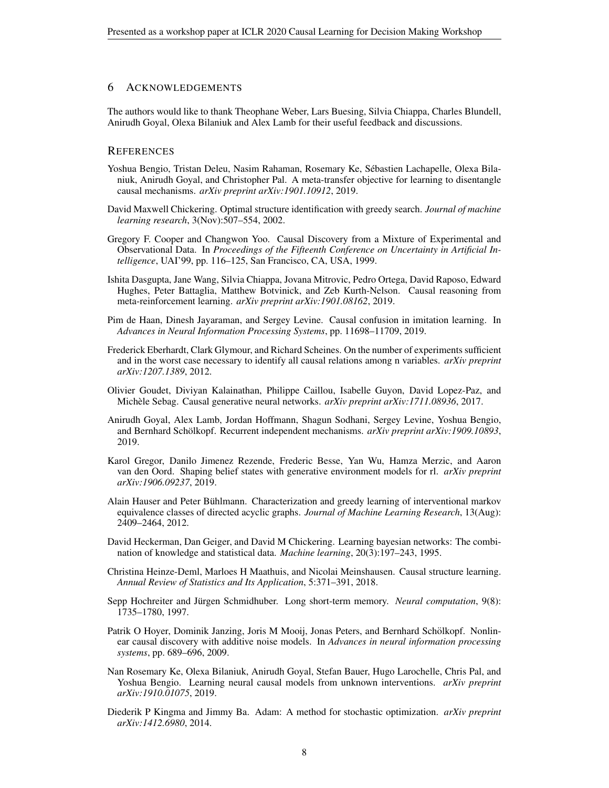### 6 ACKNOWLEDGEMENTS

The authors would like to thank Theophane Weber, Lars Buesing, Silvia Chiappa, Charles Blundell, Anirudh Goyal, Olexa Bilaniuk and Alex Lamb for their useful feedback and discussions.

#### **REFERENCES**

- <span id="page-7-8"></span>Yoshua Bengio, Tristan Deleu, Nasim Rahaman, Rosemary Ke, Sebastien Lachapelle, Olexa Bila- ´ niuk, Anirudh Goyal, and Christopher Pal. A meta-transfer objective for learning to disentangle causal mechanisms. *arXiv preprint arXiv:1901.10912*, 2019.
- <span id="page-7-4"></span>David Maxwell Chickering. Optimal structure identification with greedy search. *Journal of machine learning research*, 3(Nov):507–554, 2002.
- <span id="page-7-3"></span>Gregory F. Cooper and Changwon Yoo. Causal Discovery from a Mixture of Experimental and Observational Data. In *Proceedings of the Fifteenth Conference on Uncertainty in Artificial Intelligence*, UAI'99, pp. 116–125, San Francisco, CA, USA, 1999.
- <span id="page-7-11"></span>Ishita Dasgupta, Jane Wang, Silvia Chiappa, Jovana Mitrovic, Pedro Ortega, David Raposo, Edward Hughes, Peter Battaglia, Matthew Botvinick, and Zeb Kurth-Nelson. Causal reasoning from meta-reinforcement learning. *arXiv preprint arXiv:1901.08162*, 2019.
- <span id="page-7-0"></span>Pim de Haan, Dinesh Jayaraman, and Sergey Levine. Causal confusion in imitation learning. In *Advances in Neural Information Processing Systems*, pp. 11698–11709, 2019.
- <span id="page-7-14"></span>Frederick Eberhardt, Clark Glymour, and Richard Scheines. On the number of experiments sufficient and in the worst case necessary to identify all causal relations among n variables. *arXiv preprint arXiv:1207.1389*, 2012.
- <span id="page-7-7"></span>Olivier Goudet, Diviyan Kalainathan, Philippe Caillou, Isabelle Guyon, David Lopez-Paz, and Michèle Sebag. Causal generative neural networks. *arXiv preprint arXiv:1711.08936*, 2017.
- <span id="page-7-1"></span>Anirudh Goyal, Alex Lamb, Jordan Hoffmann, Shagun Sodhani, Sergey Levine, Yoshua Bengio, and Bernhard Schölkopf. Recurrent independent mechanisms. arXiv preprint arXiv:1909.10893, 2019.
- <span id="page-7-12"></span>Karol Gregor, Danilo Jimenez Rezende, Frederic Besse, Yan Wu, Hamza Merzic, and Aaron van den Oord. Shaping belief states with generative environment models for rl. *arXiv preprint arXiv:1906.09237*, 2019.
- <span id="page-7-6"></span>Alain Hauser and Peter Buhlmann. Characterization and greedy learning of interventional markov ¨ equivalence classes of directed acyclic graphs. *Journal of Machine Learning Research*, 13(Aug): 2409–2464, 2012.
- <span id="page-7-2"></span>David Heckerman, Dan Geiger, and David M Chickering. Learning bayesian networks: The combination of knowledge and statistical data. *Machine learning*, 20(3):197–243, 1995.
- <span id="page-7-10"></span>Christina Heinze-Deml, Marloes H Maathuis, and Nicolai Meinshausen. Causal structure learning. *Annual Review of Statistics and Its Application*, 5:371–391, 2018.
- <span id="page-7-13"></span>Sepp Hochreiter and Jürgen Schmidhuber. Long short-term memory. Neural computation, 9(8): 1735–1780, 1997.
- <span id="page-7-5"></span>Patrik O Hoyer, Dominik Janzing, Joris M Mooij, Jonas Peters, and Bernhard Schölkopf. Nonlinear causal discovery with additive noise models. In *Advances in neural information processing systems*, pp. 689–696, 2009.
- <span id="page-7-9"></span>Nan Rosemary Ke, Olexa Bilaniuk, Anirudh Goyal, Stefan Bauer, Hugo Larochelle, Chris Pal, and Yoshua Bengio. Learning neural causal models from unknown interventions. *arXiv preprint arXiv:1910.01075*, 2019.
- <span id="page-7-15"></span>Diederik P Kingma and Jimmy Ba. Adam: A method for stochastic optimization. *arXiv preprint arXiv:1412.6980*, 2014.